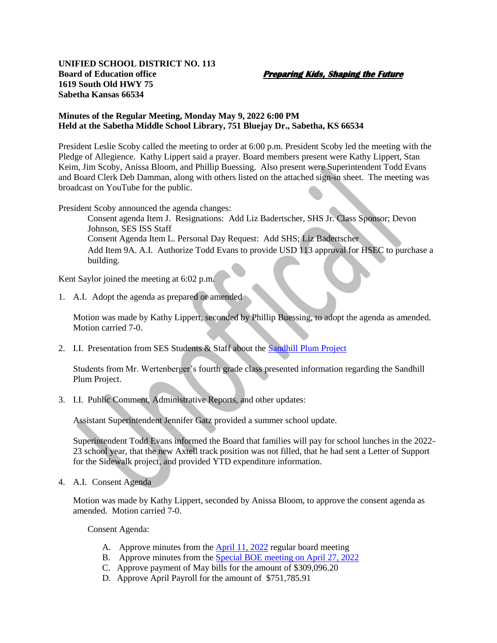## **UNIFIED SCHOOL DISTRICT NO. 113 Board of Education office Preparing Kids, Shaping the Future 1619 South Old HWY 75 Sabetha Kansas 66534**

## **Minutes of the Regular Meeting, Monday May 9, 2022 6:00 PM Held at the Sabetha Middle School Library, 751 Bluejay Dr., Sabetha, KS 66534**

President Leslie Scoby called the meeting to order at 6:00 p.m. President Scoby led the meeting with the Pledge of Allegience. Kathy Lippert said a prayer. Board members present were Kathy Lippert, Stan Keim, Jim Scoby, Anissa Bloom, and Phillip Buessing. Also present were Superintendent Todd Evans and Board Clerk Deb Damman, along with others listed on the attached sign-in sheet. The meeting was broadcast on YouTube for the public.

President Scoby announced the agenda changes:

Consent agenda Item J. Resignations: Add Liz Badertscher, SHS Jr. Class Sponsor; Devon Johnson, SES ISS Staff Consent Agenda Item L. Personal Day Request: Add SHS; Liz Badertscher Add Item 9A. A.I. Authorize Todd Evans to provide USD 113 approval for HSEC to purchase a building.

Kent Saylor joined the meeting at 6:02 p.m.

1. A.I. Adopt the agenda as prepared or amended

Motion was made by Kathy Lippert, seconded by Phillip Buessing, to adopt the agenda as amended. Motion carried 7-0.

2. I.I. Presentation from SES Students & Staff about the **Sandhill Plum Project** 

Students from Mr. Wertenberger's fourth grade class presented information regarding the Sandhill Plum Project.

3. I.I. Public Comment, Administrative Reports, and other updates:

Assistant Superintendent Jennifer Gatz provided a summer school update.

Superintendent Todd Evans informed the Board that families will pay for school lunches in the 2022- 23 school year, that the new Axtell track position was not filled, that he had sent a Letter of Support for the Sidewalk project, and provided YTD expenditure information.

4. A.I. Consent Agenda

Motion was made by Kathy Lippert, seconded by Anissa Bloom, to approve the consent agenda as amended. Motion carried 7-0.

Consent Agenda:

- A. Approve minutes from the **April 11, 2022** regular board meeting
- B. Approve minutes from the **Special BOE** meeting on April 27, 2022
- C. Approve payment of May bills for the amount of \$309,096.20
- D. Approve April Payroll for the amount of \$751,785.91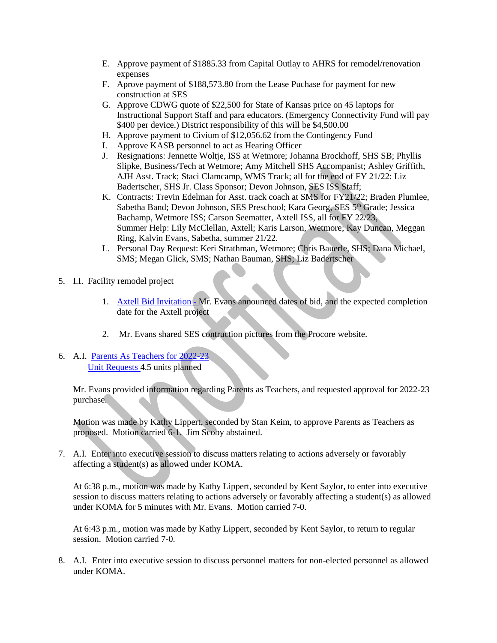- E. Approve payment of \$1885.33 from Capital Outlay to AHRS for remodel/renovation expenses
- F. Aprove payment of \$188,573.80 from the Lease Puchase for payment for new construction at SES
- G. Approve CDWG quote of \$22,500 for State of Kansas price on 45 laptops for Instructional Support Staff and para educators. (Emergency Connectivity Fund will pay \$400 per device.) District responsibility of this will be \$4,500.00
- H. Approve payment to Civium of \$12,056.62 from the Contingency Fund
- I. Approve KASB personnel to act as Hearing Officer
- J. Resignations: Jennette Woltje, ISS at Wetmore; Johanna Brockhoff, SHS SB; Phyllis Slipke, Business/Tech at Wetmore; Amy Mitchell SHS Accompanist; Ashley Griffith, AJH Asst. Track; Staci Clamcamp, WMS Track; all for the end of FY 21/22: Liz Badertscher, SHS Jr. Class Sponsor; Devon Johnson, SES ISS Staff;
- K. Contracts: Trevin Edelman for Asst. track coach at SMS for FY21/22; Braden Plumlee, Sabetha Band; Devon Johnson, SES Preschool; Kara Georg, SES 5<sup>th</sup> Grade; Jessica Bachamp, Wetmore ISS; Carson Seematter, Axtell ISS, all for FY 22/23, Summer Help: Lily McClellan, Axtell; Karis Larson, Wetmore; Kay Duncan, Meggan Ring, Kalvin Evans, Sabetha, summer 21/22.
- L. Personal Day Request: Keri Strathman, Wetmore; Chris Bauerle, SHS; Dana Michael, SMS; Megan Glick, SMS; Nathan Bauman, SHS; Liz Badertscher
- 5. I.I. Facility remodel project
	- 1. [Axtell Bid Invitation](file://///do-fs-01/do/Bd.%20Meetings/21-22/May/Axtell%20Bid%20Invitation%20%20%20(2).pdf) Mr. Evans announced dates of bid, and the expected completion date for the Axtell project
	- 2. Mr. Evans shared SES contruction pictures from the Procore website.
- 6. A.I. [Parents As Teachers for 2022-23](https://drive.google.com/file/d/1ZDsWAO6zC8CTvdgyL96K9WSOwujE0dCa/view?usp=sharing) [Unit Requests](file://///do-fs-01/do/Deb%20Damman/BOE%20Minutes/21-22/2022.05.09%20Meeting/PAT/113%20Keystone%20PAT%20Unit%20Request%2022%2023.pdf) 4.5 units planned

Mr. Evans provided information regarding Parents as Teachers, and requested approval for 2022-23 purchase.

Motion was made by Kathy Lippert, seconded by Stan Keim, to approve Parents as Teachers as proposed. Motion carried 6-1. Jim Scoby abstained.

7. A.I. Enter into executive session to discuss matters relating to actions adversely or favorably affecting a student(s) as allowed under KOMA.

At 6:38 p.m., motion was made by Kathy Lippert, seconded by Kent Saylor, to enter into executive session to discuss matters relating to actions adversely or favorably affecting a student(s) as allowed under KOMA for 5 minutes with Mr. Evans. Motion carried 7-0.

At 6:43 p.m., motion was made by Kathy Lippert, seconded by Kent Saylor, to return to regular session. Motion carried 7-0.

8. A.I. Enter into executive session to discuss personnel matters for non-elected personnel as allowed under KOMA.